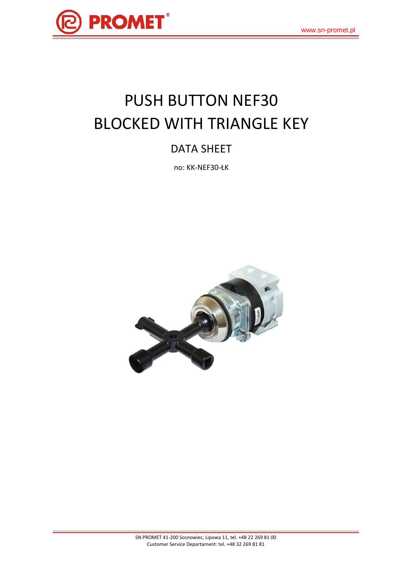

# PUSH BUTTON NEF30 BLOCKED WITH TRIANGLE KEY

## DATA SHEET

no: KK-NEF30-ŁK

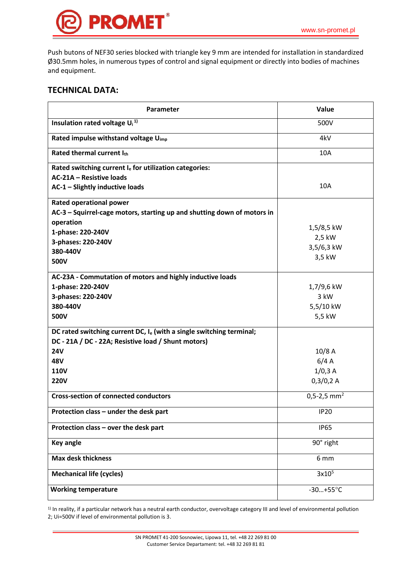

Push butons of NEF30 series blocked with triangle key 9 mm are intended for installation in standardized Ø30.5mm holes, in numerous types of control and signal equipment or directly into bodies of machines and equipment.

#### **TECHNICAL DATA:**

| Parameter                                                               | Value                     |
|-------------------------------------------------------------------------|---------------------------|
| Insulation rated voltage $U_i$ <sup>1)</sup>                            | 500V                      |
| Rated impulse withstand voltage U <sub>imp</sub>                        | 4kV                       |
| Rated thermal current Ith                                               | 10A                       |
| Rated switching current Ie for utilization categories:                  |                           |
| AC-21A - Resistive loads                                                |                           |
| AC-1 - Slightly inductive loads                                         | 10A                       |
| <b>Rated operational power</b>                                          |                           |
| AC-3 - Squirrel-cage motors, starting up and shutting down of motors in |                           |
| operation                                                               |                           |
| 1-phase: 220-240V                                                       | 1,5/8,5 kW                |
| 3-phases: 220-240V                                                      | 2,5 kW                    |
| 380-440V                                                                | 3,5/6,3 kW                |
| 500V                                                                    | 3,5 kW                    |
|                                                                         |                           |
| AC-23A - Commutation of motors and highly inductive loads               |                           |
| 1-phase: 220-240V                                                       | 1,7/9,6 kW                |
| 3-phases: 220-240V                                                      | 3 kW                      |
| 380-440V                                                                | 5,5/10 kW                 |
| 500V                                                                    | 5,5 kW                    |
| DC rated switching current DC, $I_e$ (with a single switching terminal; |                           |
| DC - 21A / DC - 22A; Resistive load / Shunt motors)                     |                           |
| <b>24V</b>                                                              | 10/8A                     |
| 48V                                                                     | 6/4A                      |
| <b>110V</b>                                                             | 1/0,3A                    |
| <b>220V</b>                                                             | 0,3/0,2 A                 |
| <b>Cross-section of connected conductors</b>                            | $0,5-2,5$ mm <sup>2</sup> |
| Protection class - under the desk part                                  | <b>IP20</b>               |
| Protection class - over the desk part                                   | <b>IP65</b>               |
| <b>Key angle</b>                                                        | 90° right                 |
| <b>Max desk thickness</b>                                               | 6 mm                      |
| <b>Mechanical life (cycles)</b>                                         | 3x10 <sup>5</sup>         |
| <b>Working temperature</b>                                              | $-30+55^{\circ}C$         |

1) In reality, if a particular network has a neutral earth conductor, overvoltage category III and level of environmental pollution 2; Ui=500V if level of environmental pollution is 3.